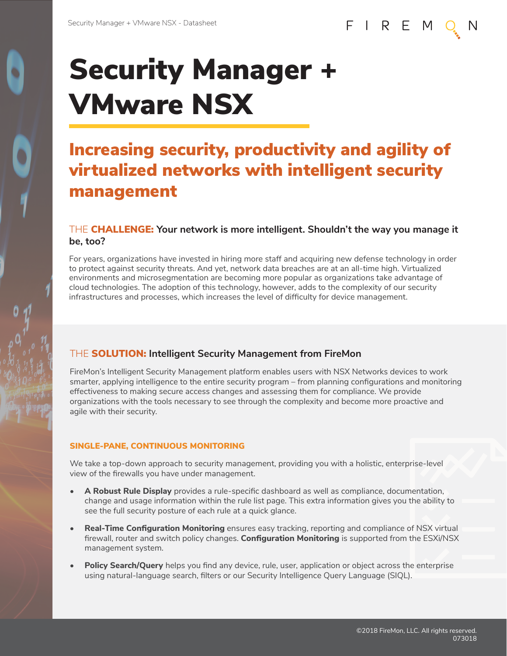# Security Manager + VMware NSX

# Increasing security, productivity and agility of virtualized networks with intelligent security management

### THE CHALLENGE: **Your network is more intelligent. Shouldn't the way you manage it be, too?**

For years, organizations have invested in hiring more staff and acquiring new defense technology in order to protect against security threats. And yet, network data breaches are at an all-time high. Virtualized environments and microsegmentation are becoming more popular as organizations take advantage of cloud technologies. The adoption of this technology, however, adds to the complexity of our security infrastructures and processes, which increases the level of difficulty for device management.

## THE SOLUTION: **Intelligent Security Management from FireMon**

FireMon's Intelligent Security Management platform enables users with NSX Networks devices to work smarter, applying intelligence to the entire security program – from planning configurations and monitoring effectiveness to making secure access changes and assessing them for compliance. We provide organizations with the tools necessary to see through the complexity and become more proactive and agile with their security.

#### SINGLE-PANE, CONTINUOUS MONITORING

We take a top-down approach to security management, providing you with a holistic, enterprise-level view of the firewalls you have under management.

- **• A Robust Rule Display** provides a rule-specific dashboard as well as compliance, documentation, change and usage information within the rule list page. This extra information gives you the ability to see the full security posture of each rule at a quick glance.
- **• Real-Time Configuration Monitoring** ensures easy tracking, reporting and compliance of NSX virtual firewall, router and switch policy changes. **Configuration Monitoring** is supported from the ESXi/NSX management system.
- **• Policy Search/Query** helps you find any device, rule, user, application or object across the enterprise using natural-language search, filters or our Security Intelligence Query Language (SIQL).

FIREM